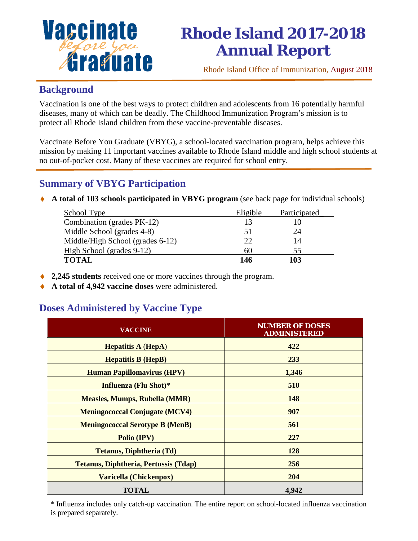

# **Rhode Island 2017-2018 Annual Report**

Rhode Island Office of Immunization, August 2018

#### **Background**

Vaccination is one of the best ways to protect children and adolescents from 16 potentially harmful diseases, many of which can be deadly. The Childhood Immunization Program's mission is to protect all Rhode Island children from these vaccine-preventable diseases.

Vaccinate Before You Graduate (VBYG), a school-located vaccination program, helps achieve this mission by making 11 important vaccines available to Rhode Island middle and high school students at no out-of-pocket cost. Many of these vaccines are required for school entry.

## **Summary of VBYG Participation**

♦ **A total of 103 schools participated in VBYG program** (see back page for individual schools)

| School Type                      | Eligible | Participated |
|----------------------------------|----------|--------------|
| Combination (grades PK-12)       | 13       |              |
| Middle School (grades 4-8)       | 51       | 24           |
| Middle/High School (grades 6-12) | 22       | 14           |
| High School (grades 9-12)        | 60       | 55           |
| <b>TOTAL</b>                     | 146      | 103          |

- ♦ **2,245 students** received one or more vaccines through the program.
- ♦ **A total of 4,942 vaccine doses** were administered.

### **Doses Administered by Vaccine Type**

| <b>VACCINE</b>                               | <b>NUMBER OF DOSES</b><br><b>ADMINISTERED</b> |
|----------------------------------------------|-----------------------------------------------|
| <b>Hepatitis A (HepA)</b>                    | 422                                           |
| <b>Hepatitis B (HepB)</b>                    | 233                                           |
| <b>Human Papillomavirus (HPV)</b>            | 1,346                                         |
| Influenza (Flu Shot)*                        | 510                                           |
| <b>Measles, Mumps, Rubella (MMR)</b>         | <b>148</b>                                    |
| <b>Meningococcal Conjugate (MCV4)</b>        | 907                                           |
| <b>Meningococcal Serotype B (MenB)</b>       | 561                                           |
| Polio (IPV)                                  | 227                                           |
| <b>Tetanus, Diphtheria (Td)</b>              | 128                                           |
| <b>Tetanus, Diphtheria, Pertussis (Tdap)</b> | <b>256</b>                                    |
| Varicella (Chickenpox)                       | 204                                           |
| <b>TOTAL</b>                                 | 4,942                                         |

\* Influenza includes only catch-up vaccination. The entire report on school-located influenza vaccination is prepared separately.